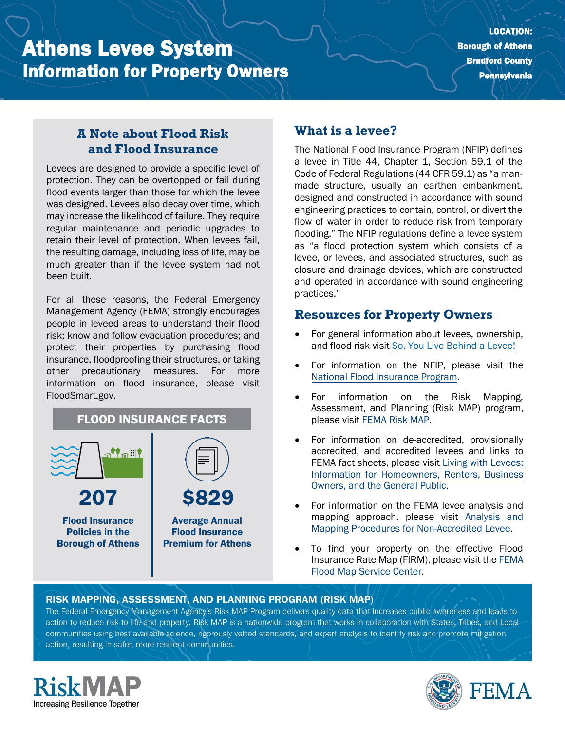# Athens Levee System Information for Property Owners

### **A Note about Flood Risk and Flood Insurance**

Levees are designed to provide a specific level of protection. They can be overtopped or fail during flood events larger than those for which the levee was designed. Levees also decay over time, which may increase the likelihood of failure. They require regular maintenance and periodic upgrades to retain their level of protection. When levees fail, the resulting damage, including loss of life, may be much greater than if the levee system had not been built.

For all these reasons, the Federal Emergency Management Agency (FEMA) strongly encourages people in leveed areas to understand their flood risk; know and follow evacuation procedures; and protect their properties by purchasing flood insurance, floodproofing their structures, or taking other precautionary measures. For more information on flood insurance, please visit [FloodSmart.gov.](https://www.floodsmart.gov/)



## **What is a levee?**

The National Flood Insurance Program (NFIP) defines a levee in Title 44, Chapter 1, Section 59.1 of the Code of Federal Regulations (44 CFR 59.1) as "a manmade structure, usually an earthen embankment, designed and constructed in accordance with sound engineering practices to contain, control, or divert the flow of water in order to reduce risk from temporary flooding." The NFIP regulations define a levee system as "a flood protection system which consists of a levee, or levees, and associated structures, such as closure and drainage devices, which are constructed and operated in accordance with sound engineering practices."

#### **Resources for Property Owners**

- For general information about levees, ownership, and flood risk visit [So, You Live Behind a Levee!](https://ascelibrary.org/doi/book/10.1061/9780784410837)
- For information on th[e](https://www.fema.gov/national-flood-insurance-program) NFIP, please visit the [National Flood Insurance Program.](https://www.fema.gov/national-flood-insurance-program)
- For information on the Risk Mapping, Assessment, and Planning (Risk MAP) program, please visit [FEMA Risk MAP.](https://www.fema.gov/flood-maps/tools-resources/risk-map)
- For information on de-accredited, provisionally accredited, and accredited levees and links to FEMA fact sheets, please visit [Living with Levees:](https://www.fema.gov/flood-maps/living-levees) [Information for Homeowners, Renters, Business](https://www.fema.gov/flood-maps/living-levees) [Owners, and the General Public.](https://www.fema.gov/flood-maps/living-levees)
- For information on the FEMA levee analysis and mapping approach, please visit [Analysis and](https://www.fema.gov/media-library-data/20130726-1922-25045-4455/20130703_approachdocument_508.pdf) [Mapping Procedures for Non-Accredited Levee.](https://www.fema.gov/media-library-data/20130726-1922-25045-4455/20130703_approachdocument_508.pdf)
- To find your property on the effective Flood Insurance Rate Map (FIRM), please visit th[e FEMA](https://msc.fema.gov/portal/) [Flood Map Service Center.](https://msc.fema.gov/portal/)

#### RISK MAPPING, ASSESSMENT, AND PLANNING PROGRAM (RISK MAP)

The Federal Emergency Management Agency's Risk MAP Program delivers quality data that increases public awareness and leads to action to reduce risk to life and property. Risk MAP is a nationwide program that works in collaboration with States, Tribes, and Localcommunities using best available science, rigorously vetted standards, and expert analysis to identify risk and promote mitigation action, resulting in safer, more resilient communities.